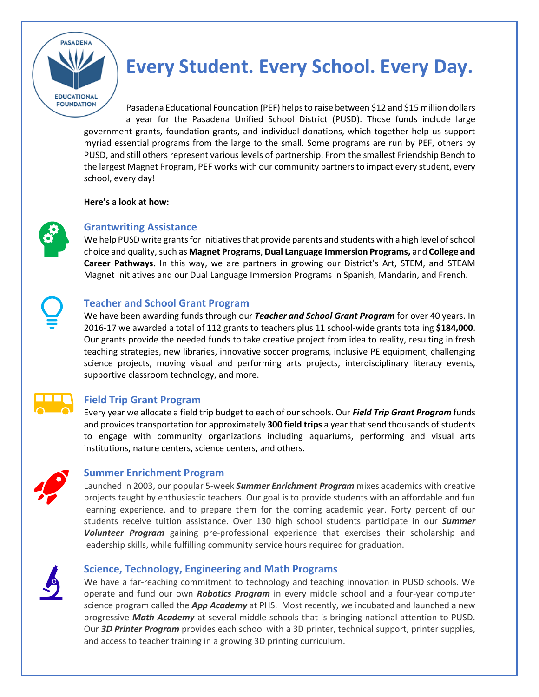

# **Every Student. Every School. Every Day.**

Pasadena Educational Foundation (PEF) helps to raise between \$12 and \$15 million dollars a year for the Pasadena Unified School District (PUSD). Those funds include large government grants, foundation grants, and individual donations, which together help us support myriad essential programs from the large to the small. Some programs are run by PEF, others by PUSD, and still others represent various levels of partnership. From the smallest Friendship Bench to the largest Magnet Program, PEF works with our community partnersto impact every student, every school, every day!

**Here's a look at how:** 



# **Grantwriting Assistance**

We help PUSD write grants for initiatives that provide parents and students with a high level of school choice and quality, such as **Magnet Programs**, **Dual Language Immersion Programs,** and **College and Career Pathways.** In this way, we are partners in growing our District's Art, STEM, and STEAM Magnet Initiatives and our Dual Language Immersion Programs in Spanish, Mandarin, and French.

# **Teacher and School Grant Program**

We have been awarding funds through our *Teacher and School Grant Program* for over 40 years. In 2016-17 we awarded a total of 112 grants to teachers plus 11 school-wide grants totaling **\$184,000**. Our grants provide the needed funds to take creative project from idea to reality, resulting in fresh teaching strategies, new libraries, innovative soccer programs, inclusive PE equipment, challenging science projects, moving visual and performing arts projects, interdisciplinary literacy events, supportive classroom technology, and more.



## **Field Trip Grant Program**

Every year we allocate a field trip budget to each of our schools. Our *Field Trip Grant Program* funds and providestransportation for approximately **300 field trips** a year that send thousands of students to engage with community organizations including aquariums, performing and visual arts institutions, nature centers, science centers, and others.



## **Summer Enrichment Program**

Launched in 2003, our popular 5-week *Summer Enrichment Program* mixes academics with creative projects taught by enthusiastic teachers. Our goal is to provide students with an affordable and fun learning experience, and to prepare them for the coming academic year. Forty percent of our students receive tuition assistance. Over 130 high school students participate in our *Summer Volunteer Program* gaining pre-professional experience that exercises their scholarship and leadership skills, while fulfilling community service hours required for graduation.

## **Science, Technology, Engineering and Math Programs**

We have a far-reaching commitment to technology and teaching innovation in PUSD schools. We operate and fund our own *Robotics Program* in every middle school and a four-year computer science program called the *App Academy* at PHS. Most recently, we incubated and launched a new progressive *Math Academy* at several middle schools that is bringing national attention to PUSD. Our *3D Printer Program* provides each school with a 3D printer, technical support, printer supplies, and access to teacher training in a growing 3D printing curriculum.